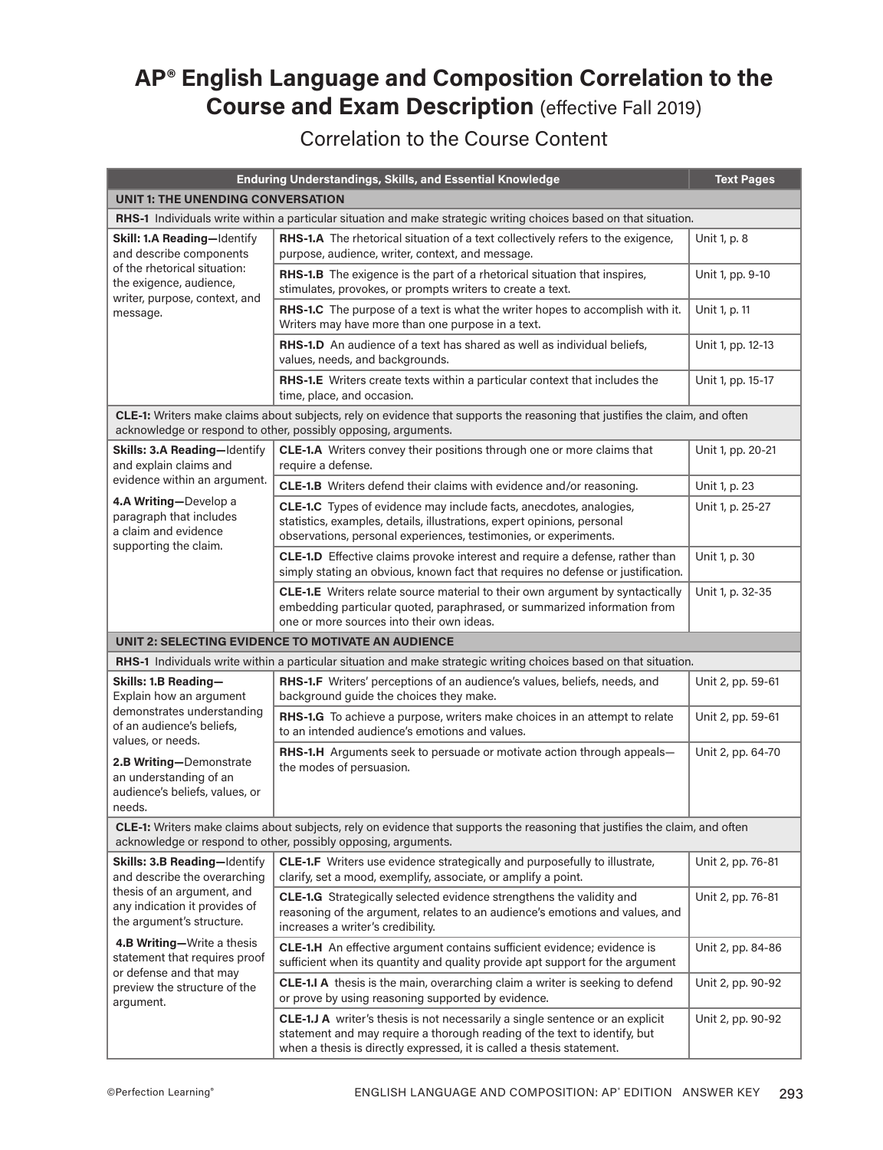## **AP® English Language and Composition Correlation to the Course and Exam Description** (effective Fall 2019)

## Correlation to the Course Content

|                                                                                                                   | <b>Enduring Understandings, Skills, and Essential Knowledge</b>                                                                                                                                                                     | <b>Text Pages</b> |  |
|-------------------------------------------------------------------------------------------------------------------|-------------------------------------------------------------------------------------------------------------------------------------------------------------------------------------------------------------------------------------|-------------------|--|
| UNIT 1: THE UNENDING CONVERSATION                                                                                 |                                                                                                                                                                                                                                     |                   |  |
| RHS-1 Individuals write within a particular situation and make strategic writing choices based on that situation. |                                                                                                                                                                                                                                     |                   |  |
| Skill: 1.A Reading-Identify<br>and describe components<br>of the rhetorical situation:<br>the exigence, audience, | <b>RHS-1.A</b> The rhetorical situation of a text collectively refers to the exigence,<br>purpose, audience, writer, context, and message.                                                                                          | Unit 1, p. 8      |  |
|                                                                                                                   | RHS-1.B The exigence is the part of a rhetorical situation that inspires,<br>stimulates, provokes, or prompts writers to create a text.                                                                                             | Unit 1, pp. 9-10  |  |
| writer, purpose, context, and<br>message.                                                                         | RHS-1.C The purpose of a text is what the writer hopes to accomplish with it.<br>Writers may have more than one purpose in a text.                                                                                                  | Unit 1, p. 11     |  |
|                                                                                                                   | <b>RHS-1.D</b> An audience of a text has shared as well as individual beliefs.<br>values, needs, and backgrounds.                                                                                                                   | Unit 1, pp. 12-13 |  |
|                                                                                                                   | RHS-1.E Writers create texts within a particular context that includes the<br>time, place, and occasion.                                                                                                                            | Unit 1, pp. 15-17 |  |
|                                                                                                                   | CLE-1: Writers make claims about subjects, rely on evidence that supports the reasoning that justifies the claim, and often<br>acknowledge or respond to other, possibly opposing, arguments.                                       |                   |  |
| Skills: 3.A Reading-Identify<br>and explain claims and                                                            | CLE-1.A Writers convey their positions through one or more claims that<br>require a defense.                                                                                                                                        | Unit 1, pp. 20-21 |  |
| evidence within an argument.                                                                                      | CLE-1.B Writers defend their claims with evidence and/or reasoning.                                                                                                                                                                 | Unit 1, p. 23     |  |
| 4.A Writing-Develop a<br>paragraph that includes<br>a claim and evidence                                          | CLE-1.C Types of evidence may include facts, anecdotes, analogies,<br>statistics, examples, details, illustrations, expert opinions, personal<br>observations, personal experiences, testimonies, or experiments.                   | Unit 1, p. 25-27  |  |
| supporting the claim.                                                                                             | CLE-1.D Effective claims provoke interest and require a defense, rather than<br>simply stating an obvious, known fact that requires no defense or justification.                                                                    | Unit 1, p. 30     |  |
|                                                                                                                   | CLE-1.E Writers relate source material to their own argument by syntactically<br>embedding particular quoted, paraphrased, or summarized information from<br>one or more sources into their own ideas.                              | Unit 1, p. 32-35  |  |
|                                                                                                                   | UNIT 2: SELECTING EVIDENCE TO MOTIVATE AN AUDIENCE                                                                                                                                                                                  |                   |  |
|                                                                                                                   | RHS-1 Individuals write within a particular situation and make strategic writing choices based on that situation.                                                                                                                   |                   |  |
| Skills: 1.B Reading-<br>Explain how an argument                                                                   | RHS-1.F Writers' perceptions of an audience's values, beliefs, needs, and<br>background guide the choices they make.                                                                                                                | Unit 2, pp. 59-61 |  |
| demonstrates understanding<br>of an audience's beliefs,<br>values, or needs.                                      | RHS-1.G To achieve a purpose, writers make choices in an attempt to relate<br>to an intended audience's emotions and values.                                                                                                        | Unit 2, pp. 59-61 |  |
| 2.B Writing-Demonstrate<br>an understanding of an<br>audience's beliefs, values, or<br>needs.                     | RHS-1.H Arguments seek to persuade or motivate action through appeals-<br>the modes of persuasion.                                                                                                                                  | Unit 2, pp. 64-70 |  |
|                                                                                                                   | <b>CLE-1:</b> Writers make claims about subjects, rely on evidence that supports the reasoning that justifies the claim, and often<br>acknowledge or respond to other, possibly opposing, arguments.                                |                   |  |
| Skills: 3.B Reading-Identify<br>and describe the overarching                                                      | CLE-1.F Writers use evidence strategically and purposefully to illustrate,<br>clarify, set a mood, exemplify, associate, or amplify a point.                                                                                        | Unit 2, pp. 76-81 |  |
| thesis of an argument, and<br>any indication it provides of<br>the argument's structure.                          | <b>CLE-1.G</b> Strategically selected evidence strengthens the validity and<br>reasoning of the argument, relates to an audience's emotions and values, and<br>increases a writer's credibility.                                    | Unit 2, pp. 76-81 |  |
| 4.B Writing-Write a thesis<br>statement that requires proof                                                       | CLE-1.H An effective argument contains sufficient evidence; evidence is<br>sufficient when its quantity and quality provide apt support for the argument                                                                            | Unit 2, pp. 84-86 |  |
| or defense and that may<br>preview the structure of the<br>argument.                                              | CLE-1.I A thesis is the main, overarching claim a writer is seeking to defend<br>or prove by using reasoning supported by evidence.                                                                                                 | Unit 2, pp. 90-92 |  |
|                                                                                                                   | CLE-1.J A writer's thesis is not necessarily a single sentence or an explicit<br>statement and may require a thorough reading of the text to identify, but<br>when a thesis is directly expressed, it is called a thesis statement. | Unit 2, pp. 90-92 |  |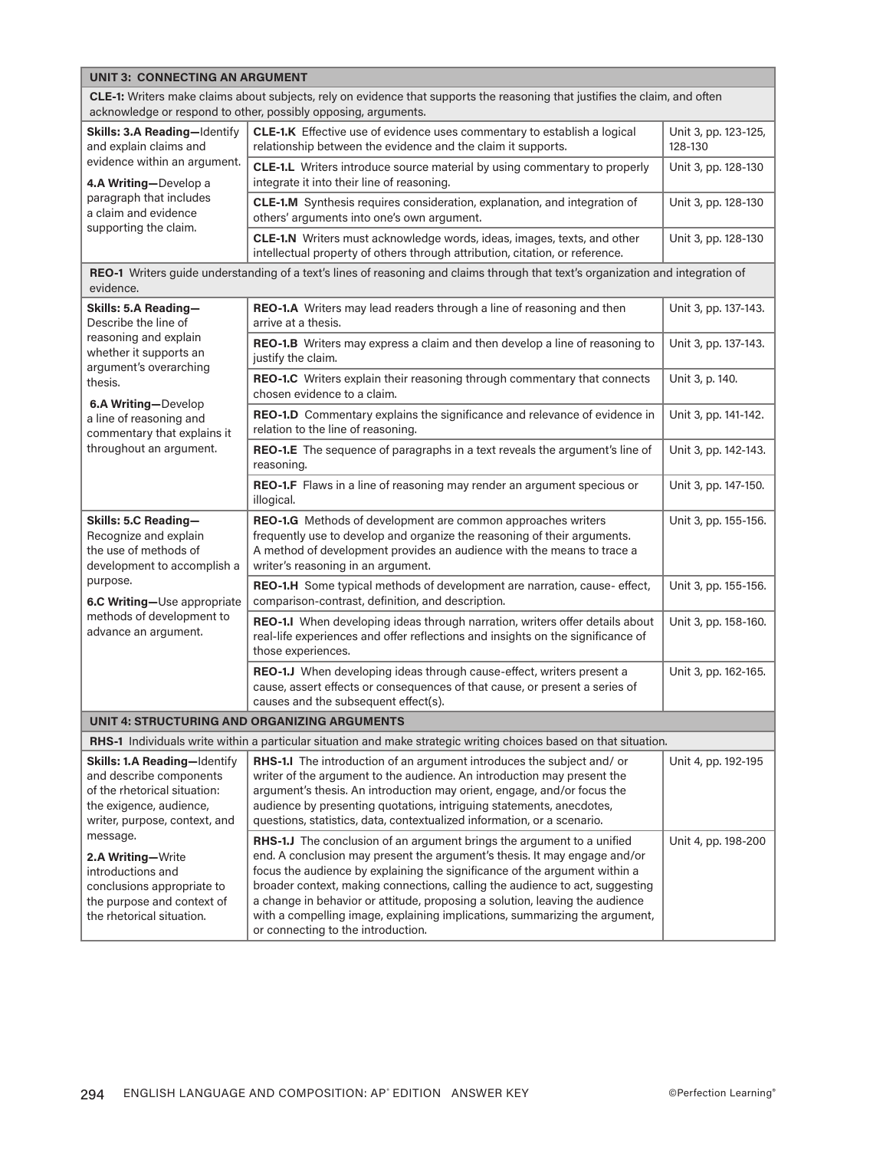| <b>UNIT 3: CONNECTING AN ARGUMENT</b>                                                                                                                                                                 |                                                                                                                                                                                                                                                                                                                                                                                                                                                                                                                        |                                 |  |
|-------------------------------------------------------------------------------------------------------------------------------------------------------------------------------------------------------|------------------------------------------------------------------------------------------------------------------------------------------------------------------------------------------------------------------------------------------------------------------------------------------------------------------------------------------------------------------------------------------------------------------------------------------------------------------------------------------------------------------------|---------------------------------|--|
| CLE-1: Writers make claims about subjects, rely on evidence that supports the reasoning that justifies the claim, and often<br>acknowledge or respond to other, possibly opposing, arguments.         |                                                                                                                                                                                                                                                                                                                                                                                                                                                                                                                        |                                 |  |
| Skills: 3.A Reading-Identify<br>and explain claims and<br>evidence within an argument.<br>4.A Writing-Develop a                                                                                       | <b>CLE-1.K</b> Effective use of evidence uses commentary to establish a logical<br>relationship between the evidence and the claim it supports.                                                                                                                                                                                                                                                                                                                                                                        | Unit 3, pp. 123-125,<br>128-130 |  |
|                                                                                                                                                                                                       | <b>CLE-1.L</b> Writers introduce source material by using commentary to properly<br>integrate it into their line of reasoning.                                                                                                                                                                                                                                                                                                                                                                                         | Unit 3, pp. 128-130             |  |
| paragraph that includes<br>a claim and evidence                                                                                                                                                       | CLE-1.M Synthesis requires consideration, explanation, and integration of<br>others' arguments into one's own argument.                                                                                                                                                                                                                                                                                                                                                                                                | Unit 3, pp. 128-130             |  |
| supporting the claim.                                                                                                                                                                                 | CLE-1.N Writers must acknowledge words, ideas, images, texts, and other<br>intellectual property of others through attribution, citation, or reference.                                                                                                                                                                                                                                                                                                                                                                | Unit 3, pp. 128-130             |  |
| evidence.                                                                                                                                                                                             | REO-1 Writers guide understanding of a text's lines of reasoning and claims through that text's organization and integration of                                                                                                                                                                                                                                                                                                                                                                                        |                                 |  |
| Skills: 5.A Reading-<br>Describe the line of                                                                                                                                                          | REO-1.A Writers may lead readers through a line of reasoning and then<br>arrive at a thesis.                                                                                                                                                                                                                                                                                                                                                                                                                           | Unit 3, pp. 137-143.            |  |
| reasoning and explain<br>whether it supports an                                                                                                                                                       | REO-1.B Writers may express a claim and then develop a line of reasoning to<br>justify the claim.                                                                                                                                                                                                                                                                                                                                                                                                                      | Unit 3, pp. 137-143.            |  |
| argument's overarching<br>thesis.                                                                                                                                                                     | REO-1.C Writers explain their reasoning through commentary that connects<br>chosen evidence to a claim.                                                                                                                                                                                                                                                                                                                                                                                                                | Unit 3, p. 140.                 |  |
| 6.A Writing-Develop<br>a line of reasoning and<br>commentary that explains it                                                                                                                         | REO-1.D Commentary explains the significance and relevance of evidence in<br>relation to the line of reasoning.                                                                                                                                                                                                                                                                                                                                                                                                        | Unit 3, pp. 141-142.            |  |
| throughout an argument.                                                                                                                                                                               | REO-1.E The sequence of paragraphs in a text reveals the argument's line of<br>reasoning.                                                                                                                                                                                                                                                                                                                                                                                                                              | Unit 3, pp. 142-143.            |  |
|                                                                                                                                                                                                       | REO-1.F Flaws in a line of reasoning may render an argument specious or<br>illogical.                                                                                                                                                                                                                                                                                                                                                                                                                                  | Unit 3, pp. 147-150.            |  |
| Skills: 5.C Reading-<br>Recognize and explain<br>the use of methods of<br>development to accomplish a<br>purpose.<br>6.C Writing-Use appropriate<br>methods of development to<br>advance an argument. | REO-1.G Methods of development are common approaches writers<br>frequently use to develop and organize the reasoning of their arguments.<br>A method of development provides an audience with the means to trace a<br>writer's reasoning in an argument.                                                                                                                                                                                                                                                               | Unit 3, pp. 155-156.            |  |
|                                                                                                                                                                                                       | REO-1.H Some typical methods of development are narration, cause- effect,<br>comparison-contrast, definition, and description.                                                                                                                                                                                                                                                                                                                                                                                         | Unit 3, pp. 155-156.            |  |
|                                                                                                                                                                                                       | REO-1.I When developing ideas through narration, writers offer details about<br>real-life experiences and offer reflections and insights on the significance of<br>those experiences.                                                                                                                                                                                                                                                                                                                                  | Unit 3, pp. 158-160.            |  |
|                                                                                                                                                                                                       | REO-1.J When developing ideas through cause-effect, writers present a<br>cause, assert effects or consequences of that cause, or present a series of<br>causes and the subsequent effect(s).                                                                                                                                                                                                                                                                                                                           | Unit 3, pp. 162-165.            |  |
| UNIT 4: STRUCTURING AND ORGANIZING ARGUMENTS                                                                                                                                                          |                                                                                                                                                                                                                                                                                                                                                                                                                                                                                                                        |                                 |  |
| RHS-1 Individuals write within a particular situation and make strategic writing choices based on that situation.                                                                                     |                                                                                                                                                                                                                                                                                                                                                                                                                                                                                                                        |                                 |  |
| Skills: 1.A Reading-Identify<br>and describe components<br>of the rhetorical situation:<br>the exigence, audience,<br>writer, purpose, context, and                                                   | <b>RHS-1.I</b> The introduction of an argument introduces the subject and/or<br>writer of the argument to the audience. An introduction may present the<br>argument's thesis. An introduction may orient, engage, and/or focus the<br>audience by presenting quotations, intriguing statements, anecdotes,<br>questions, statistics, data, contextualized information, or a scenario.                                                                                                                                  | Unit 4, pp. 192-195             |  |
| message.<br>2.A Writing-Write<br>introductions and<br>conclusions appropriate to<br>the purpose and context of<br>the rhetorical situation.                                                           | RHS-1.J The conclusion of an argument brings the argument to a unified<br>end. A conclusion may present the argument's thesis. It may engage and/or<br>focus the audience by explaining the significance of the argument within a<br>broader context, making connections, calling the audience to act, suggesting<br>a change in behavior or attitude, proposing a solution, leaving the audience<br>with a compelling image, explaining implications, summarizing the argument,<br>or connecting to the introduction. | Unit 4, pp. 198-200             |  |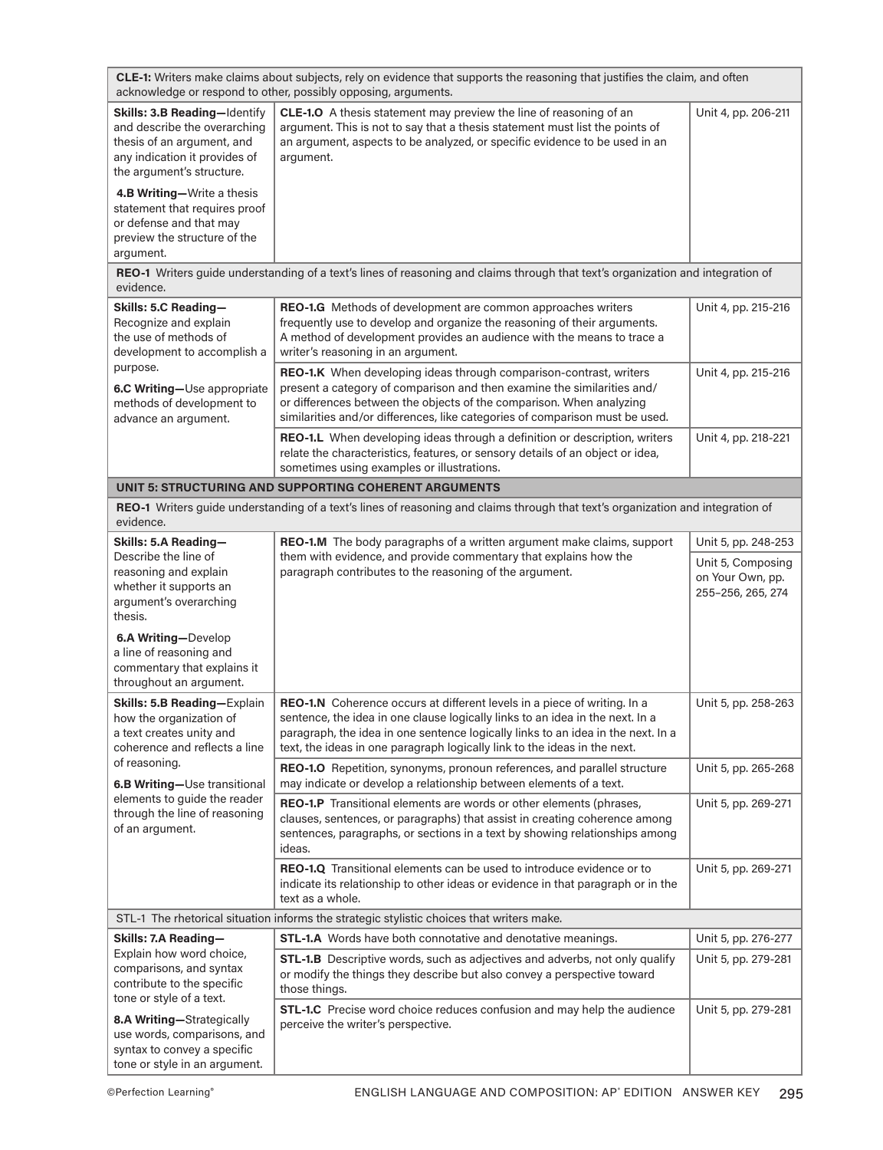|                                                                                           | CLE-1: Writers make claims about subjects, rely on evidence that supports the reasoning that justifies the claim, and often<br>acknowledge or respond to other, possibly opposing, arguments.                                                                                                                                                                                                                                                                                                                                                                                                                                                                                                                                                                                                                                                                                                                                                                                                                                                                                                                                                                                                                                                                                                                                                                                                                                                                                                                                                                                                                                                                                                                                                                                                                                                                                                                                                                                                                                                                                                                                                                                                                                                                                                                                                                                                                                                                                                                                                                                                                                                                                                                                                                                                                                                                         |  |  |  |
|-------------------------------------------------------------------------------------------|-----------------------------------------------------------------------------------------------------------------------------------------------------------------------------------------------------------------------------------------------------------------------------------------------------------------------------------------------------------------------------------------------------------------------------------------------------------------------------------------------------------------------------------------------------------------------------------------------------------------------------------------------------------------------------------------------------------------------------------------------------------------------------------------------------------------------------------------------------------------------------------------------------------------------------------------------------------------------------------------------------------------------------------------------------------------------------------------------------------------------------------------------------------------------------------------------------------------------------------------------------------------------------------------------------------------------------------------------------------------------------------------------------------------------------------------------------------------------------------------------------------------------------------------------------------------------------------------------------------------------------------------------------------------------------------------------------------------------------------------------------------------------------------------------------------------------------------------------------------------------------------------------------------------------------------------------------------------------------------------------------------------------------------------------------------------------------------------------------------------------------------------------------------------------------------------------------------------------------------------------------------------------------------------------------------------------------------------------------------------------------------------------------------------------------------------------------------------------------------------------------------------------------------------------------------------------------------------------------------------------------------------------------------------------------------------------------------------------------------------------------------------------------------------------------------------------------------------------------------------------|--|--|--|
|                                                                                           | Unit 4, pp. 206-211                                                                                                                                                                                                                                                                                                                                                                                                                                                                                                                                                                                                                                                                                                                                                                                                                                                                                                                                                                                                                                                                                                                                                                                                                                                                                                                                                                                                                                                                                                                                                                                                                                                                                                                                                                                                                                                                                                                                                                                                                                                                                                                                                                                                                                                                                                                                                                                                                                                                                                                                                                                                                                                                                                                                                                                                                                                   |  |  |  |
|                                                                                           |                                                                                                                                                                                                                                                                                                                                                                                                                                                                                                                                                                                                                                                                                                                                                                                                                                                                                                                                                                                                                                                                                                                                                                                                                                                                                                                                                                                                                                                                                                                                                                                                                                                                                                                                                                                                                                                                                                                                                                                                                                                                                                                                                                                                                                                                                                                                                                                                                                                                                                                                                                                                                                                                                                                                                                                                                                                                       |  |  |  |
|                                                                                           |                                                                                                                                                                                                                                                                                                                                                                                                                                                                                                                                                                                                                                                                                                                                                                                                                                                                                                                                                                                                                                                                                                                                                                                                                                                                                                                                                                                                                                                                                                                                                                                                                                                                                                                                                                                                                                                                                                                                                                                                                                                                                                                                                                                                                                                                                                                                                                                                                                                                                                                                                                                                                                                                                                                                                                                                                                                                       |  |  |  |
|                                                                                           | Unit 4, pp. 215-216                                                                                                                                                                                                                                                                                                                                                                                                                                                                                                                                                                                                                                                                                                                                                                                                                                                                                                                                                                                                                                                                                                                                                                                                                                                                                                                                                                                                                                                                                                                                                                                                                                                                                                                                                                                                                                                                                                                                                                                                                                                                                                                                                                                                                                                                                                                                                                                                                                                                                                                                                                                                                                                                                                                                                                                                                                                   |  |  |  |
|                                                                                           | Unit 4, pp. 215-216                                                                                                                                                                                                                                                                                                                                                                                                                                                                                                                                                                                                                                                                                                                                                                                                                                                                                                                                                                                                                                                                                                                                                                                                                                                                                                                                                                                                                                                                                                                                                                                                                                                                                                                                                                                                                                                                                                                                                                                                                                                                                                                                                                                                                                                                                                                                                                                                                                                                                                                                                                                                                                                                                                                                                                                                                                                   |  |  |  |
|                                                                                           | Unit 4, pp. 218-221                                                                                                                                                                                                                                                                                                                                                                                                                                                                                                                                                                                                                                                                                                                                                                                                                                                                                                                                                                                                                                                                                                                                                                                                                                                                                                                                                                                                                                                                                                                                                                                                                                                                                                                                                                                                                                                                                                                                                                                                                                                                                                                                                                                                                                                                                                                                                                                                                                                                                                                                                                                                                                                                                                                                                                                                                                                   |  |  |  |
|                                                                                           |                                                                                                                                                                                                                                                                                                                                                                                                                                                                                                                                                                                                                                                                                                                                                                                                                                                                                                                                                                                                                                                                                                                                                                                                                                                                                                                                                                                                                                                                                                                                                                                                                                                                                                                                                                                                                                                                                                                                                                                                                                                                                                                                                                                                                                                                                                                                                                                                                                                                                                                                                                                                                                                                                                                                                                                                                                                                       |  |  |  |
|                                                                                           |                                                                                                                                                                                                                                                                                                                                                                                                                                                                                                                                                                                                                                                                                                                                                                                                                                                                                                                                                                                                                                                                                                                                                                                                                                                                                                                                                                                                                                                                                                                                                                                                                                                                                                                                                                                                                                                                                                                                                                                                                                                                                                                                                                                                                                                                                                                                                                                                                                                                                                                                                                                                                                                                                                                                                                                                                                                                       |  |  |  |
|                                                                                           | Unit 5, pp. 248-253<br>Unit 5, Composing<br>on Your Own, pp.<br>255-256, 265, 274                                                                                                                                                                                                                                                                                                                                                                                                                                                                                                                                                                                                                                                                                                                                                                                                                                                                                                                                                                                                                                                                                                                                                                                                                                                                                                                                                                                                                                                                                                                                                                                                                                                                                                                                                                                                                                                                                                                                                                                                                                                                                                                                                                                                                                                                                                                                                                                                                                                                                                                                                                                                                                                                                                                                                                                     |  |  |  |
|                                                                                           | Unit 5, pp. 258-263                                                                                                                                                                                                                                                                                                                                                                                                                                                                                                                                                                                                                                                                                                                                                                                                                                                                                                                                                                                                                                                                                                                                                                                                                                                                                                                                                                                                                                                                                                                                                                                                                                                                                                                                                                                                                                                                                                                                                                                                                                                                                                                                                                                                                                                                                                                                                                                                                                                                                                                                                                                                                                                                                                                                                                                                                                                   |  |  |  |
|                                                                                           |                                                                                                                                                                                                                                                                                                                                                                                                                                                                                                                                                                                                                                                                                                                                                                                                                                                                                                                                                                                                                                                                                                                                                                                                                                                                                                                                                                                                                                                                                                                                                                                                                                                                                                                                                                                                                                                                                                                                                                                                                                                                                                                                                                                                                                                                                                                                                                                                                                                                                                                                                                                                                                                                                                                                                                                                                                                                       |  |  |  |
|                                                                                           | Unit 5, pp. 265-268                                                                                                                                                                                                                                                                                                                                                                                                                                                                                                                                                                                                                                                                                                                                                                                                                                                                                                                                                                                                                                                                                                                                                                                                                                                                                                                                                                                                                                                                                                                                                                                                                                                                                                                                                                                                                                                                                                                                                                                                                                                                                                                                                                                                                                                                                                                                                                                                                                                                                                                                                                                                                                                                                                                                                                                                                                                   |  |  |  |
|                                                                                           | Unit 5, pp. 269-271                                                                                                                                                                                                                                                                                                                                                                                                                                                                                                                                                                                                                                                                                                                                                                                                                                                                                                                                                                                                                                                                                                                                                                                                                                                                                                                                                                                                                                                                                                                                                                                                                                                                                                                                                                                                                                                                                                                                                                                                                                                                                                                                                                                                                                                                                                                                                                                                                                                                                                                                                                                                                                                                                                                                                                                                                                                   |  |  |  |
|                                                                                           | Unit 5, pp. 269-271                                                                                                                                                                                                                                                                                                                                                                                                                                                                                                                                                                                                                                                                                                                                                                                                                                                                                                                                                                                                                                                                                                                                                                                                                                                                                                                                                                                                                                                                                                                                                                                                                                                                                                                                                                                                                                                                                                                                                                                                                                                                                                                                                                                                                                                                                                                                                                                                                                                                                                                                                                                                                                                                                                                                                                                                                                                   |  |  |  |
| STL-1 The rhetorical situation informs the strategic stylistic choices that writers make. |                                                                                                                                                                                                                                                                                                                                                                                                                                                                                                                                                                                                                                                                                                                                                                                                                                                                                                                                                                                                                                                                                                                                                                                                                                                                                                                                                                                                                                                                                                                                                                                                                                                                                                                                                                                                                                                                                                                                                                                                                                                                                                                                                                                                                                                                                                                                                                                                                                                                                                                                                                                                                                                                                                                                                                                                                                                                       |  |  |  |
|                                                                                           | Unit 5, pp. 276-277<br>Unit 5, pp. 279-281                                                                                                                                                                                                                                                                                                                                                                                                                                                                                                                                                                                                                                                                                                                                                                                                                                                                                                                                                                                                                                                                                                                                                                                                                                                                                                                                                                                                                                                                                                                                                                                                                                                                                                                                                                                                                                                                                                                                                                                                                                                                                                                                                                                                                                                                                                                                                                                                                                                                                                                                                                                                                                                                                                                                                                                                                            |  |  |  |
|                                                                                           | Unit 5, pp. 279-281                                                                                                                                                                                                                                                                                                                                                                                                                                                                                                                                                                                                                                                                                                                                                                                                                                                                                                                                                                                                                                                                                                                                                                                                                                                                                                                                                                                                                                                                                                                                                                                                                                                                                                                                                                                                                                                                                                                                                                                                                                                                                                                                                                                                                                                                                                                                                                                                                                                                                                                                                                                                                                                                                                                                                                                                                                                   |  |  |  |
|                                                                                           | CLE-1.O A thesis statement may preview the line of reasoning of an<br>argument. This is not to say that a thesis statement must list the points of<br>an argument, aspects to be analyzed, or specific evidence to be used in an<br>argument.<br>REO-1 Writers guide understanding of a text's lines of reasoning and claims through that text's organization and integration of<br>REO-1.G Methods of development are common approaches writers<br>frequently use to develop and organize the reasoning of their arguments.<br>A method of development provides an audience with the means to trace a<br>writer's reasoning in an argument.<br>REO-1.K When developing ideas through comparison-contrast, writers<br>present a category of comparison and then examine the similarities and/<br>or differences between the objects of the comparison. When analyzing<br>similarities and/or differences, like categories of comparison must be used.<br><b>REO-1.L</b> When developing ideas through a definition or description, writers<br>relate the characteristics, features, or sensory details of an object or idea,<br>sometimes using examples or illustrations.<br><b>UNIT 5: STRUCTURING AND SUPPORTING COHERENT ARGUMENTS</b><br>REO-1 Writers guide understanding of a text's lines of reasoning and claims through that text's organization and integration of<br>REO-1.M The body paragraphs of a written argument make claims, support<br>them with evidence, and provide commentary that explains how the<br>paragraph contributes to the reasoning of the argument.<br>REO-1.N Coherence occurs at different levels in a piece of writing. In a<br>sentence, the idea in one clause logically links to an idea in the next. In a<br>paragraph, the idea in one sentence logically links to an idea in the next. In a<br>text, the ideas in one paragraph logically link to the ideas in the next.<br>REO-1.O Repetition, synonyms, pronoun references, and parallel structure<br>may indicate or develop a relationship between elements of a text.<br>REO-1.P Transitional elements are words or other elements (phrases,<br>clauses, sentences, or paragraphs) that assist in creating coherence among<br>sentences, paragraphs, or sections in a text by showing relationships among<br><b>REO-1.Q</b> Transitional elements can be used to introduce evidence or to<br>indicate its relationship to other ideas or evidence in that paragraph or in the<br>text as a whole.<br><b>STL-1.A</b> Words have both connotative and denotative meanings.<br>STL-1.B Descriptive words, such as adjectives and adverbs, not only qualify<br>or modify the things they describe but also convey a perspective toward<br>those things.<br>STL-1.C Precise word choice reduces confusion and may help the audience<br>perceive the writer's perspective. |  |  |  |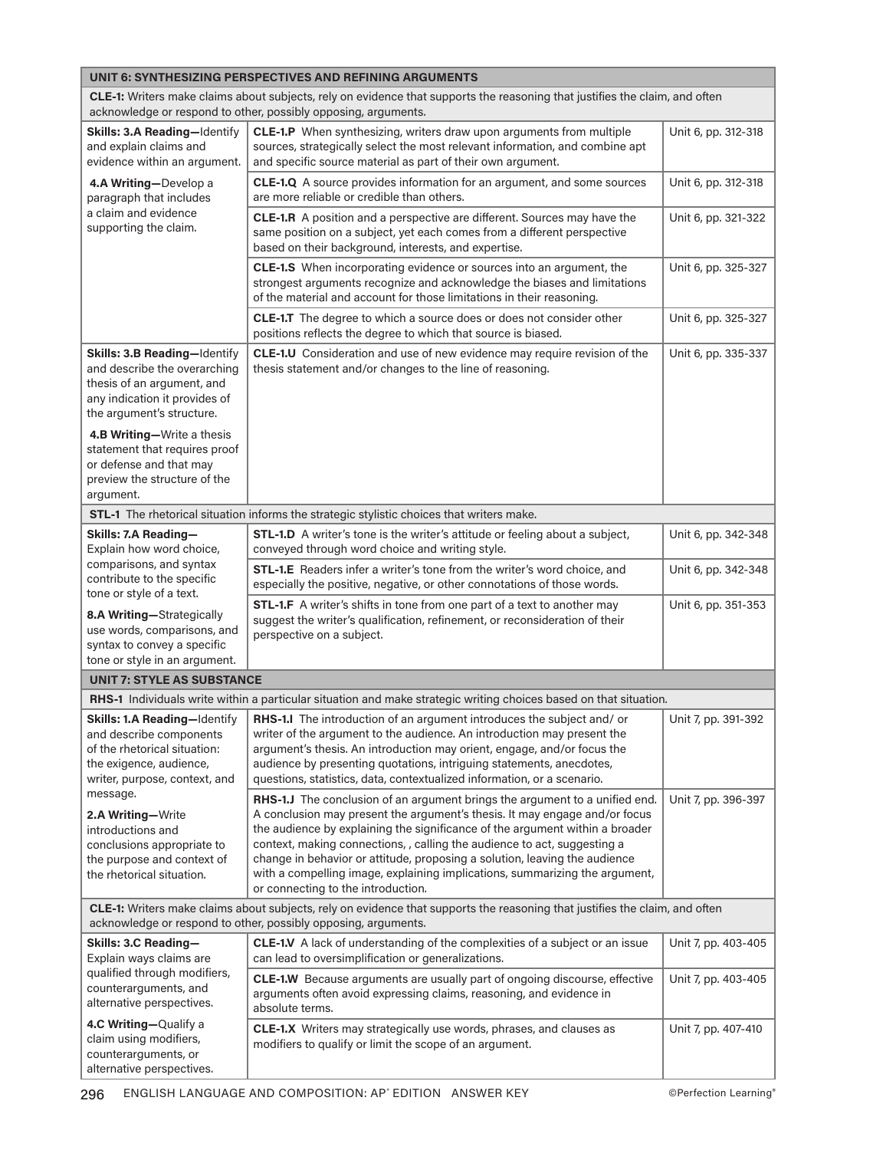| UNIT 6: SYNTHESIZING PERSPECTIVES AND REFINING ARGUMENTS                                                                                                                                                                                                                                        |                                                                                                                                                                                                                                                                                                                                                                                                                                                                                                                          |                     |  |
|-------------------------------------------------------------------------------------------------------------------------------------------------------------------------------------------------------------------------------------------------------------------------------------------------|--------------------------------------------------------------------------------------------------------------------------------------------------------------------------------------------------------------------------------------------------------------------------------------------------------------------------------------------------------------------------------------------------------------------------------------------------------------------------------------------------------------------------|---------------------|--|
| CLE-1: Writers make claims about subjects, rely on evidence that supports the reasoning that justifies the claim, and often<br>acknowledge or respond to other, possibly opposing, arguments.                                                                                                   |                                                                                                                                                                                                                                                                                                                                                                                                                                                                                                                          |                     |  |
| Skills: 3.A Reading-Identify<br>and explain claims and<br>evidence within an argument.                                                                                                                                                                                                          | CLE-1.P When synthesizing, writers draw upon arguments from multiple<br>sources, strategically select the most relevant information, and combine apt<br>and specific source material as part of their own argument.                                                                                                                                                                                                                                                                                                      | Unit 6, pp. 312-318 |  |
| 4.A Writing-Develop a<br>paragraph that includes                                                                                                                                                                                                                                                | <b>CLE-1.Q</b> A source provides information for an argument, and some sources<br>are more reliable or credible than others.                                                                                                                                                                                                                                                                                                                                                                                             | Unit 6, pp. 312-318 |  |
| a claim and evidence<br>supporting the claim.                                                                                                                                                                                                                                                   | CLE-1.R A position and a perspective are different. Sources may have the<br>same position on a subject, yet each comes from a different perspective<br>based on their background, interests, and expertise.                                                                                                                                                                                                                                                                                                              | Unit 6, pp. 321-322 |  |
|                                                                                                                                                                                                                                                                                                 | <b>CLE-1.S</b> When incorporating evidence or sources into an argument, the<br>strongest arguments recognize and acknowledge the biases and limitations<br>of the material and account for those limitations in their reasoning.                                                                                                                                                                                                                                                                                         | Unit 6, pp. 325-327 |  |
|                                                                                                                                                                                                                                                                                                 | CLE-1.T The degree to which a source does or does not consider other<br>positions reflects the degree to which that source is biased.                                                                                                                                                                                                                                                                                                                                                                                    | Unit 6, pp. 325-327 |  |
| Skills: 3.B Reading-Identify<br>and describe the overarching<br>thesis of an argument, and<br>any indication it provides of<br>the argument's structure.<br>4.B Writing-Write a thesis<br>statement that requires proof<br>or defense and that may<br>preview the structure of the<br>argument. | CLE-1.U Consideration and use of new evidence may require revision of the<br>thesis statement and/or changes to the line of reasoning.                                                                                                                                                                                                                                                                                                                                                                                   | Unit 6, pp. 335-337 |  |
|                                                                                                                                                                                                                                                                                                 | STL-1 The rhetorical situation informs the strategic stylistic choices that writers make.                                                                                                                                                                                                                                                                                                                                                                                                                                |                     |  |
| Skills: 7.A Reading-<br>Explain how word choice,                                                                                                                                                                                                                                                | <b>STL-1.D</b> A writer's tone is the writer's attitude or feeling about a subject,<br>conveyed through word choice and writing style.                                                                                                                                                                                                                                                                                                                                                                                   | Unit 6, pp. 342-348 |  |
| comparisons, and syntax<br>contribute to the specific<br>tone or style of a text.                                                                                                                                                                                                               | <b>STL-1.E</b> Readers infer a writer's tone from the writer's word choice, and<br>especially the positive, negative, or other connotations of those words.                                                                                                                                                                                                                                                                                                                                                              | Unit 6, pp. 342-348 |  |
| 8.A Writing-Strategically<br>use words, comparisons, and<br>syntax to convey a specific<br>tone or style in an argument.                                                                                                                                                                        | STL-1.F A writer's shifts in tone from one part of a text to another may<br>suggest the writer's qualification, refinement, or reconsideration of their<br>perspective on a subject.                                                                                                                                                                                                                                                                                                                                     | Unit 6, pp. 351-353 |  |
| <b>UNIT 7: STYLE AS SUBSTANCE</b>                                                                                                                                                                                                                                                               |                                                                                                                                                                                                                                                                                                                                                                                                                                                                                                                          |                     |  |
|                                                                                                                                                                                                                                                                                                 | RHS-1 Individuals write within a particular situation and make strategic writing choices based on that situation.                                                                                                                                                                                                                                                                                                                                                                                                        |                     |  |
| Skills: 1.A Reading-Identify<br>and describe components<br>of the rhetorical situation:<br>the exigence, audience,<br>writer, purpose, context, and                                                                                                                                             | RHS-1.I The introduction of an argument introduces the subject and/ or<br>writer of the argument to the audience. An introduction may present the<br>argument's thesis. An introduction may orient, engage, and/or focus the<br>audience by presenting quotations, intriguing statements, anecdotes,<br>questions, statistics, data, contextualized information, or a scenario.                                                                                                                                          | Unit 7, pp. 391-392 |  |
| message.<br>2.A Writing-Write<br>introductions and<br>conclusions appropriate to<br>the purpose and context of<br>the rhetorical situation.                                                                                                                                                     | RHS-1.J The conclusion of an argument brings the argument to a unified end.<br>A conclusion may present the argument's thesis. It may engage and/or focus<br>the audience by explaining the significance of the argument within a broader<br>context, making connections, , calling the audience to act, suggesting a<br>change in behavior or attitude, proposing a solution, leaving the audience<br>with a compelling image, explaining implications, summarizing the argument,<br>or connecting to the introduction. | Unit 7, pp. 396-397 |  |
| CLE-1: Writers make claims about subjects, rely on evidence that supports the reasoning that justifies the claim, and often<br>acknowledge or respond to other, possibly opposing, arguments.                                                                                                   |                                                                                                                                                                                                                                                                                                                                                                                                                                                                                                                          |                     |  |
| Skills: 3.C Reading-<br>Explain ways claims are                                                                                                                                                                                                                                                 | CLE-1.V A lack of understanding of the complexities of a subject or an issue<br>can lead to oversimplification or generalizations.                                                                                                                                                                                                                                                                                                                                                                                       | Unit 7, pp. 403-405 |  |
| qualified through modifiers,<br>counterarguments, and<br>alternative perspectives.                                                                                                                                                                                                              | CLE-1.W Because arguments are usually part of ongoing discourse, effective<br>arguments often avoid expressing claims, reasoning, and evidence in<br>absolute terms.                                                                                                                                                                                                                                                                                                                                                     | Unit 7, pp. 403-405 |  |
| 4.C Writing-Qualify a<br>claim using modifiers,<br>counterarguments, or<br>alternative perspectives.                                                                                                                                                                                            | CLE-1.X Writers may strategically use words, phrases, and clauses as<br>modifiers to qualify or limit the scope of an argument.                                                                                                                                                                                                                                                                                                                                                                                          | Unit 7, pp. 407-410 |  |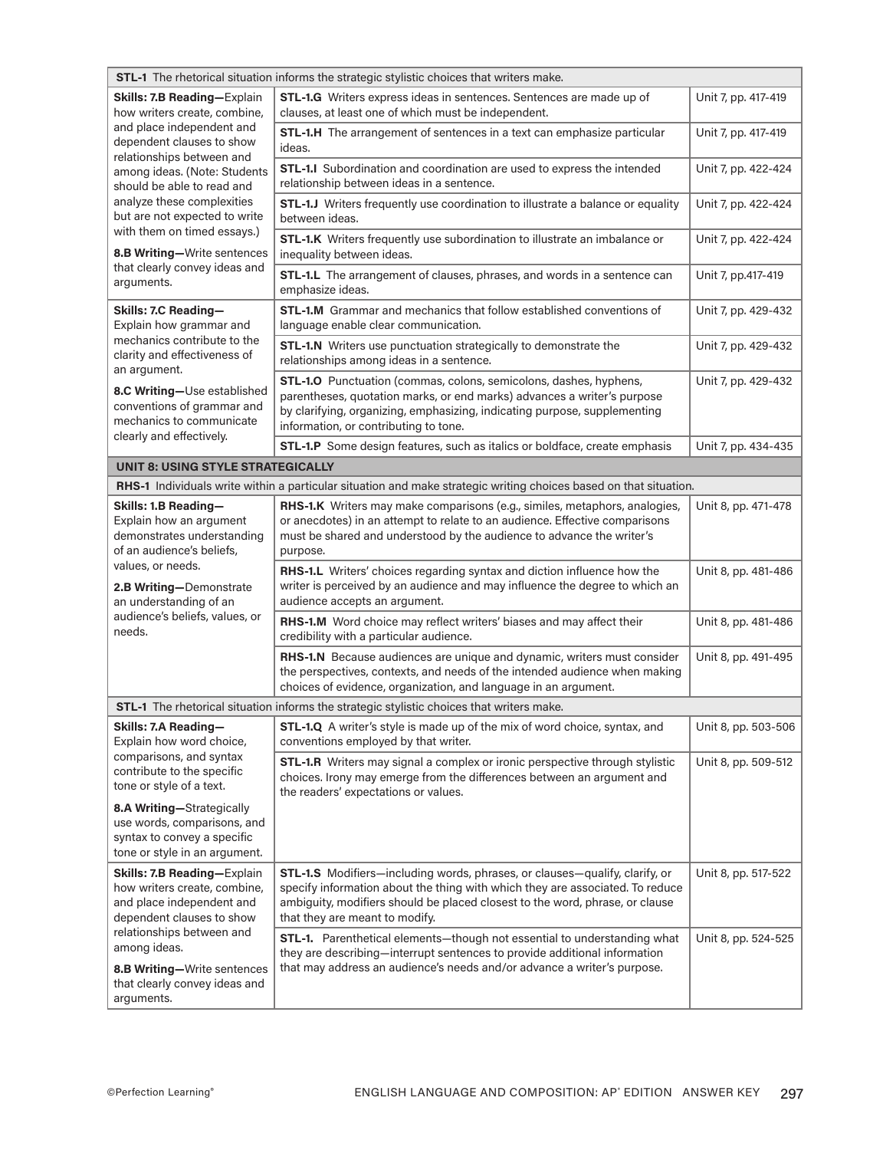| <b>STL-1</b> The rhetorical situation informs the strategic stylistic choices that writers make.                          |                                                                                                                                                                                                                                                                                |                     |  |
|---------------------------------------------------------------------------------------------------------------------------|--------------------------------------------------------------------------------------------------------------------------------------------------------------------------------------------------------------------------------------------------------------------------------|---------------------|--|
| Skills: 7.B Reading-Explain<br>how writers create, combine,                                                               | STL-1.G Writers express ideas in sentences. Sentences are made up of<br>clauses, at least one of which must be independent.                                                                                                                                                    | Unit 7, pp. 417-419 |  |
| and place independent and<br>dependent clauses to show<br>relationships between and                                       | STL-1.H The arrangement of sentences in a text can emphasize particular<br>ideas.                                                                                                                                                                                              | Unit 7, pp. 417-419 |  |
| among ideas. (Note: Students<br>should be able to read and<br>analyze these complexities<br>but are not expected to write | STL-1.I Subordination and coordination are used to express the intended<br>relationship between ideas in a sentence.                                                                                                                                                           | Unit 7, pp. 422-424 |  |
|                                                                                                                           | STL-1.J Writers frequently use coordination to illustrate a balance or equality<br>between ideas.                                                                                                                                                                              | Unit 7, pp. 422-424 |  |
| with them on timed essays.)<br>8.B Writing-Write sentences                                                                | STL-1.K Writers frequently use subordination to illustrate an imbalance or<br>inequality between ideas.                                                                                                                                                                        | Unit 7, pp. 422-424 |  |
| that clearly convey ideas and<br>arguments.                                                                               | STL-1.L The arrangement of clauses, phrases, and words in a sentence can<br>emphasize ideas.                                                                                                                                                                                   | Unit 7, pp.417-419  |  |
| Skills: 7.C Reading-<br>Explain how grammar and                                                                           | <b>STL-1.M</b> Grammar and mechanics that follow established conventions of<br>language enable clear communication.                                                                                                                                                            | Unit 7, pp. 429-432 |  |
| mechanics contribute to the<br>clarity and effectiveness of<br>an argument.                                               | <b>STL-1.N</b> Writers use punctuation strategically to demonstrate the<br>relationships among ideas in a sentence.                                                                                                                                                            | Unit 7, pp. 429-432 |  |
| 8.C Writing-Use established<br>conventions of grammar and<br>mechanics to communicate<br>clearly and effectively.         | STL-1.0 Punctuation (commas, colons, semicolons, dashes, hyphens,<br>parentheses, quotation marks, or end marks) advances a writer's purpose<br>by clarifying, organizing, emphasizing, indicating purpose, supplementing<br>information, or contributing to tone.             | Unit 7, pp. 429-432 |  |
|                                                                                                                           | STL-1.P Some design features, such as italics or boldface, create emphasis                                                                                                                                                                                                     | Unit 7, pp. 434-435 |  |
| <b>UNIT 8: USING STYLE STRATEGICALLY</b>                                                                                  |                                                                                                                                                                                                                                                                                |                     |  |
|                                                                                                                           | RHS-1 Individuals write within a particular situation and make strategic writing choices based on that situation.                                                                                                                                                              |                     |  |
| Skills: 1.B Reading-<br>Explain how an argument<br>demonstrates understanding<br>of an audience's beliefs,                | <b>RHS-1.K</b> Writers may make comparisons (e.g., similes, metaphors, analogies,<br>or anecdotes) in an attempt to relate to an audience. Effective comparisons<br>must be shared and understood by the audience to advance the writer's<br>purpose.                          | Unit 8, pp. 471-478 |  |
| values, or needs.<br><b>2.B Writing-Demonstrate</b><br>an understanding of an                                             | RHS-1.L Writers' choices regarding syntax and diction influence how the<br>writer is perceived by an audience and may influence the degree to which an<br>audience accepts an argument.                                                                                        | Unit 8, pp. 481-486 |  |
| audience's beliefs, values, or<br>needs.                                                                                  | RHS-1.M Word choice may reflect writers' biases and may affect their<br>credibility with a particular audience.                                                                                                                                                                | Unit 8, pp. 481-486 |  |
|                                                                                                                           | RHS-1.N Because audiences are unique and dynamic, writers must consider<br>the perspectives, contexts, and needs of the intended audience when making<br>choices of evidence, organization, and language in an argument.                                                       | Unit 8, pp. 491-495 |  |
|                                                                                                                           | STL-1 The rhetorical situation informs the strategic stylistic choices that writers make.                                                                                                                                                                                      |                     |  |
| Skills: 7.A Reading-<br>Explain how word choice,                                                                          | <b>STL-1.Q</b> A writer's style is made up of the mix of word choice, syntax, and<br>conventions employed by that writer.                                                                                                                                                      | Unit 8, pp. 503-506 |  |
| comparisons, and syntax<br>contribute to the specific<br>tone or style of a text.                                         | STL-1.R Writers may signal a complex or ironic perspective through stylistic<br>choices. Irony may emerge from the differences between an argument and<br>the readers' expectations or values.                                                                                 | Unit 8, pp. 509-512 |  |
| 8.A Writing-Strategically<br>use words, comparisons, and<br>syntax to convey a specific<br>tone or style in an argument.  |                                                                                                                                                                                                                                                                                |                     |  |
| Skills: 7.B Reading-Explain<br>how writers create, combine,<br>and place independent and<br>dependent clauses to show     | STL-1.S Modifiers-including words, phrases, or clauses-qualify, clarify, or<br>specify information about the thing with which they are associated. To reduce<br>ambiguity, modifiers should be placed closest to the word, phrase, or clause<br>that they are meant to modify. | Unit 8, pp. 517-522 |  |
| relationships between and<br>among ideas.<br>8.B Writing-Write sentences<br>that clearly convey ideas and<br>arguments.   | STL-1. Parenthetical elements-though not essential to understanding what<br>they are describing-interrupt sentences to provide additional information<br>that may address an audience's needs and/or advance a writer's purpose.                                               | Unit 8, pp. 524-525 |  |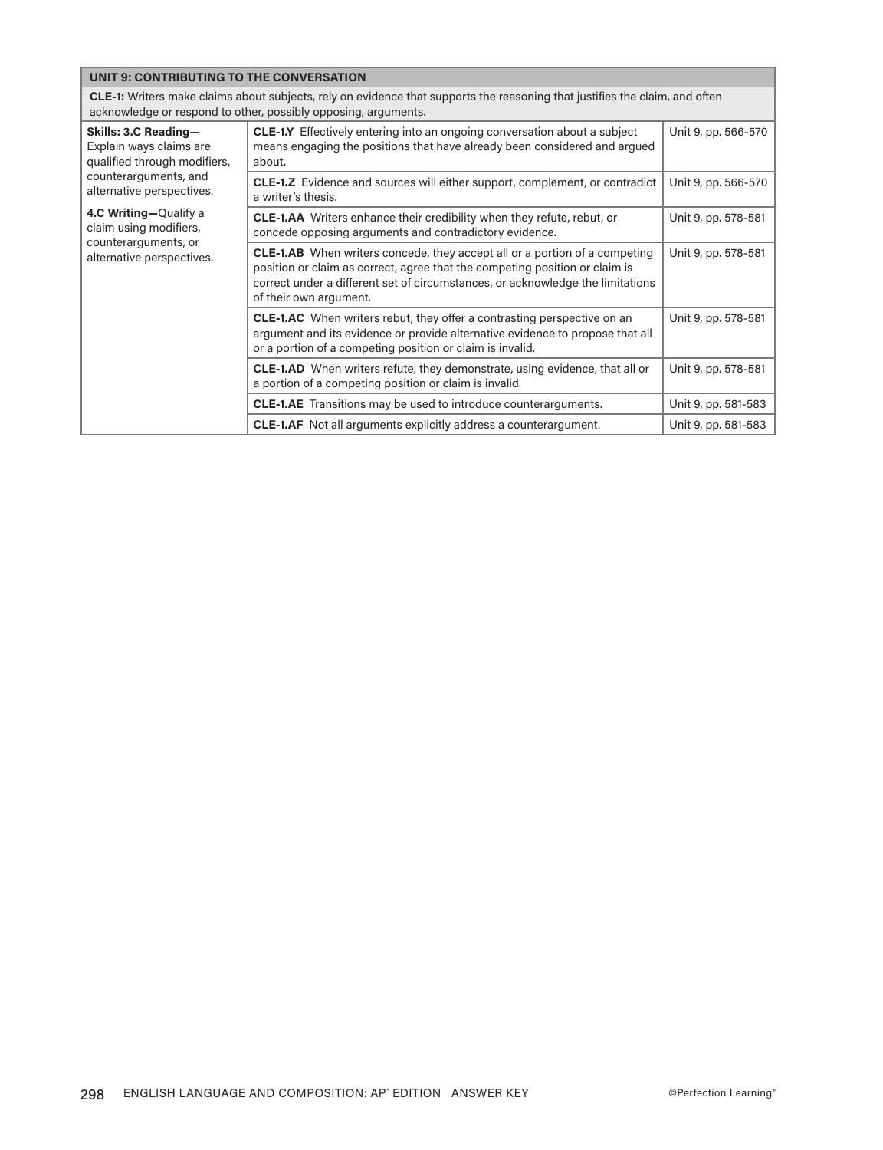| UNIT 9: CONTRIBUTING TO THE CONVERSATION                                                                                                                                                                                                      |                                                                                                                                                                                                                                                                              |                     |
|-----------------------------------------------------------------------------------------------------------------------------------------------------------------------------------------------------------------------------------------------|------------------------------------------------------------------------------------------------------------------------------------------------------------------------------------------------------------------------------------------------------------------------------|---------------------|
| CLE-1: Writers make claims about subjects, rely on evidence that supports the reasoning that justifies the claim, and often<br>acknowledge or respond to other, possibly opposing, arguments.                                                 |                                                                                                                                                                                                                                                                              |                     |
| Skills: 3.C Reading-<br>Explain ways claims are<br>qualified through modifiers,<br>counterarguments, and<br>alternative perspectives.<br>4.C Writing-Qualify a<br>claim using modifiers,<br>counterarguments, or<br>alternative perspectives. | <b>CLE-1.Y</b> Effectively entering into an ongoing conversation about a subject<br>means engaging the positions that have already been considered and argued<br>about.                                                                                                      | Unit 9, pp. 566-570 |
|                                                                                                                                                                                                                                               | <b>CLE-1.Z</b> Evidence and sources will either support, complement, or contradict<br>a writer's thesis.                                                                                                                                                                     | Unit 9, pp. 566-570 |
|                                                                                                                                                                                                                                               | <b>CLE-1.AA</b> Writers enhance their credibility when they refute, rebut, or<br>concede opposing arguments and contradictory evidence.                                                                                                                                      | Unit 9, pp. 578-581 |
|                                                                                                                                                                                                                                               | <b>CLE-1.AB</b> When writers concede, they accept all or a portion of a competing<br>position or claim as correct, agree that the competing position or claim is<br>correct under a different set of circumstances, or acknowledge the limitations<br>of their own argument. | Unit 9, pp. 578-581 |
|                                                                                                                                                                                                                                               | <b>CLE-1.AC</b> When writers rebut, they offer a contrasting perspective on an<br>argument and its evidence or provide alternative evidence to propose that all<br>or a portion of a competing position or claim is invalid.                                                 | Unit 9, pp. 578-581 |
|                                                                                                                                                                                                                                               | <b>CLE-1.AD</b> When writers refute, they demonstrate, using evidence, that all or<br>a portion of a competing position or claim is invalid.                                                                                                                                 | Unit 9, pp. 578-581 |
|                                                                                                                                                                                                                                               | <b>CLE-1.AE</b> Transitions may be used to introduce counterarguments.                                                                                                                                                                                                       | Unit 9, pp. 581-583 |
|                                                                                                                                                                                                                                               | <b>CLE-1.AF</b> Not all arguments explicitly address a counterargument.                                                                                                                                                                                                      | Unit 9, pp. 581-583 |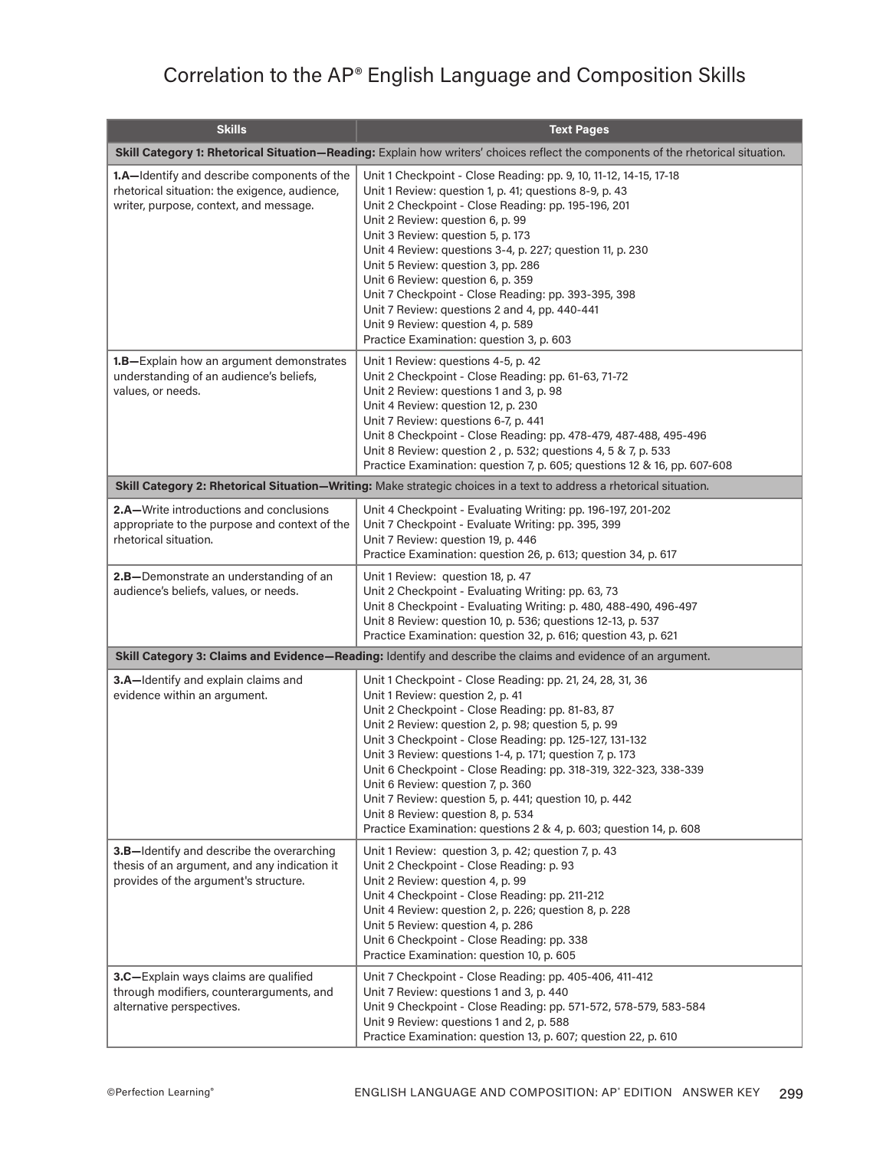## Correlation to the AP® English Language and Composition Skills

| <b>Skills</b>                                                                                                                          | <b>Text Pages</b>                                                                                                                                                                                                                                                                                                                                                                                                                                                                                                                                                                                             |  |
|----------------------------------------------------------------------------------------------------------------------------------------|---------------------------------------------------------------------------------------------------------------------------------------------------------------------------------------------------------------------------------------------------------------------------------------------------------------------------------------------------------------------------------------------------------------------------------------------------------------------------------------------------------------------------------------------------------------------------------------------------------------|--|
|                                                                                                                                        | Skill Category 1: Rhetorical Situation-Reading: Explain how writers' choices reflect the components of the rhetorical situation.                                                                                                                                                                                                                                                                                                                                                                                                                                                                              |  |
| 1.A-Identify and describe components of the<br>rhetorical situation: the exigence, audience,<br>writer, purpose, context, and message. | Unit 1 Checkpoint - Close Reading: pp. 9, 10, 11-12, 14-15, 17-18<br>Unit 1 Review: question 1, p. 41; questions 8-9, p. 43<br>Unit 2 Checkpoint - Close Reading: pp. 195-196, 201<br>Unit 2 Review: question 6, p. 99<br>Unit 3 Review: question 5, p. 173<br>Unit 4 Review: questions 3-4, p. 227; question 11, p. 230<br>Unit 5 Review: question 3, pp. 286<br>Unit 6 Review: question 6, p. 359<br>Unit 7 Checkpoint - Close Reading: pp. 393-395, 398<br>Unit 7 Review: questions 2 and 4, pp. 440-441<br>Unit 9 Review: question 4, p. 589<br>Practice Examination: question 3, p. 603                  |  |
| 1.B-Explain how an argument demonstrates<br>understanding of an audience's beliefs,<br>values, or needs.                               | Unit 1 Review: questions 4-5, p. 42<br>Unit 2 Checkpoint - Close Reading: pp. 61-63, 71-72<br>Unit 2 Review: questions 1 and 3, p. 98<br>Unit 4 Review: question 12, p. 230<br>Unit 7 Review: questions 6-7, p. 441<br>Unit 8 Checkpoint - Close Reading: pp. 478-479, 487-488, 495-496<br>Unit 8 Review: question 2, p. 532; questions 4, 5 & 7, p. 533<br>Practice Examination: question 7, p. 605; questions 12 & 16, pp. 607-608                                                                                                                                                                          |  |
|                                                                                                                                        | Skill Category 2: Rhetorical Situation-Writing: Make strategic choices in a text to address a rhetorical situation.                                                                                                                                                                                                                                                                                                                                                                                                                                                                                           |  |
| <b>2.A–Write introductions and conclusions</b><br>appropriate to the purpose and context of the<br>rhetorical situation.               | Unit 4 Checkpoint - Evaluating Writing: pp. 196-197, 201-202<br>Unit 7 Checkpoint - Evaluate Writing: pp. 395, 399<br>Unit 7 Review: question 19, p. 446<br>Practice Examination: question 26, p. 613; question 34, p. 617                                                                                                                                                                                                                                                                                                                                                                                    |  |
| 2.B-Demonstrate an understanding of an<br>audience's beliefs, values, or needs.                                                        | Unit 1 Review: question 18, p. 47<br>Unit 2 Checkpoint - Evaluating Writing: pp. 63, 73<br>Unit 8 Checkpoint - Evaluating Writing: p. 480, 488-490, 496-497<br>Unit 8 Review: question 10, p. 536; questions 12-13, p. 537<br>Practice Examination: question 32, p. 616; question 43, p. 621                                                                                                                                                                                                                                                                                                                  |  |
|                                                                                                                                        | Skill Category 3: Claims and Evidence-Reading: Identify and describe the claims and evidence of an argument.                                                                                                                                                                                                                                                                                                                                                                                                                                                                                                  |  |
| 3.A-Identify and explain claims and<br>evidence within an argument.                                                                    | Unit 1 Checkpoint - Close Reading: pp. 21, 24, 28, 31, 36<br>Unit 1 Review: question 2, p. 41<br>Unit 2 Checkpoint - Close Reading: pp. 81-83, 87<br>Unit 2 Review: question 2, p. 98; question 5, p. 99<br>Unit 3 Checkpoint - Close Reading: pp. 125-127, 131-132<br>Unit 3 Review: questions 1-4, p. 171; question 7, p. 173<br>Unit 6 Checkpoint - Close Reading: pp. 318-319, 322-323, 338-339<br>Unit 6 Review: question 7, p. 360<br>Unit 7 Review: question 5, p. 441; question 10, p. 442<br>Unit 8 Review: question 8, p. 534<br>Practice Examination: questions 2 & 4, p. 603; question 14, p. 608 |  |
| 3.B-Identify and describe the overarching<br>thesis of an argument, and any indication it<br>provides of the argument's structure.     | Unit 1 Review: question 3, p. 42; question 7, p. 43<br>Unit 2 Checkpoint - Close Reading: p. 93<br>Unit 2 Review: question 4, p. 99<br>Unit 4 Checkpoint - Close Reading: pp. 211-212<br>Unit 4 Review: question 2, p. 226; question 8, p. 228<br>Unit 5 Review: question 4, p. 286<br>Unit 6 Checkpoint - Close Reading: pp. 338<br>Practice Examination: question 10, p. 605                                                                                                                                                                                                                                |  |
| 3.C-Explain ways claims are qualified<br>through modifiers, counterarguments, and<br>alternative perspectives.                         | Unit 7 Checkpoint - Close Reading: pp. 405-406, 411-412<br>Unit 7 Review: questions 1 and 3, p. 440<br>Unit 9 Checkpoint - Close Reading: pp. 571-572, 578-579, 583-584<br>Unit 9 Review: questions 1 and 2, p. 588<br>Practice Examination: question 13, p. 607; question 22, p. 610                                                                                                                                                                                                                                                                                                                         |  |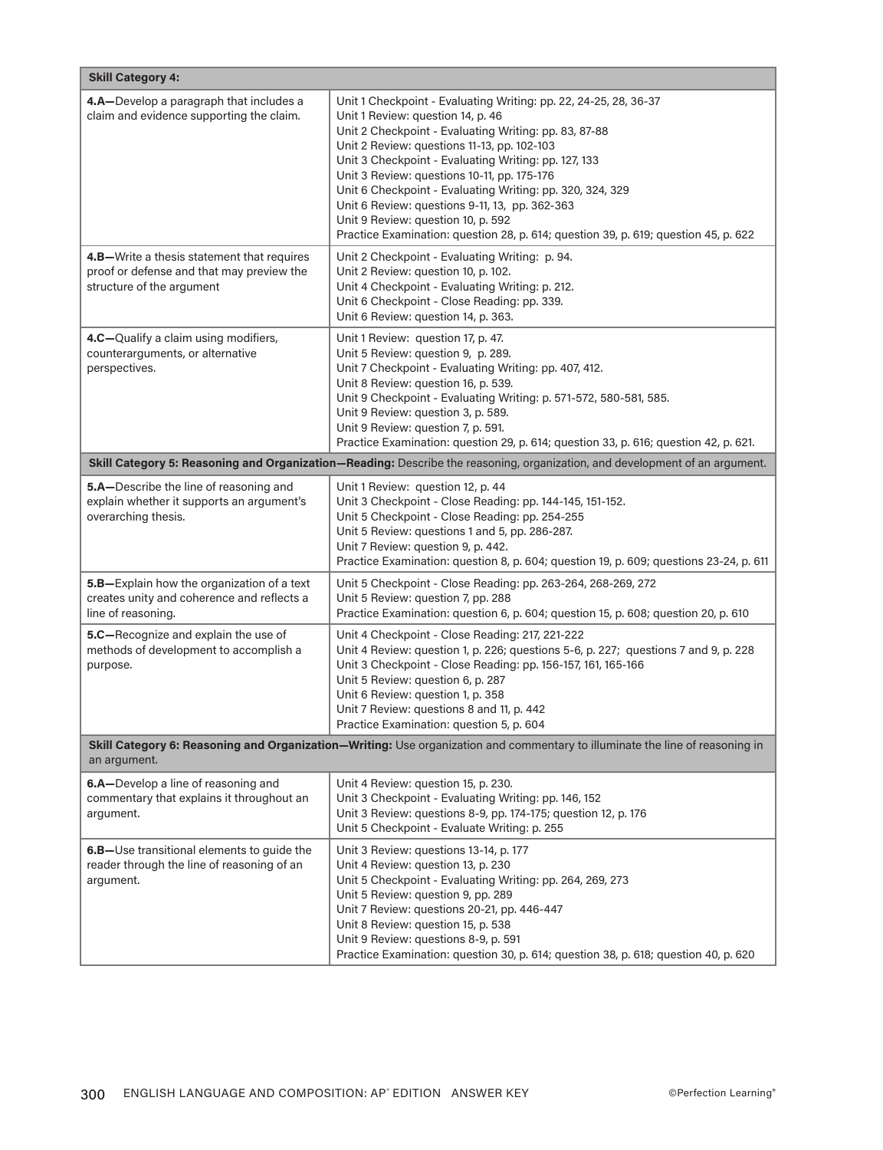| <b>Skill Category 4:</b>                                                                                                                     |                                                                                                                                                                                                                                                                                                                                                                                                                                                                                                                                                                  |  |  |
|----------------------------------------------------------------------------------------------------------------------------------------------|------------------------------------------------------------------------------------------------------------------------------------------------------------------------------------------------------------------------------------------------------------------------------------------------------------------------------------------------------------------------------------------------------------------------------------------------------------------------------------------------------------------------------------------------------------------|--|--|
| 4.A-Develop a paragraph that includes a<br>claim and evidence supporting the claim.                                                          | Unit 1 Checkpoint - Evaluating Writing: pp. 22, 24-25, 28, 36-37<br>Unit 1 Review: question 14, p. 46<br>Unit 2 Checkpoint - Evaluating Writing: pp. 83, 87-88<br>Unit 2 Review: questions 11-13, pp. 102-103<br>Unit 3 Checkpoint - Evaluating Writing: pp. 127, 133<br>Unit 3 Review: questions 10-11, pp. 175-176<br>Unit 6 Checkpoint - Evaluating Writing: pp. 320, 324, 329<br>Unit 6 Review: questions 9-11, 13, pp. 362-363<br>Unit 9 Review: question 10, p. 592<br>Practice Examination: question 28, p. 614; question 39, p. 619; question 45, p. 622 |  |  |
| 4.B-Write a thesis statement that requires<br>proof or defense and that may preview the<br>structure of the argument                         | Unit 2 Checkpoint - Evaluating Writing: p. 94.<br>Unit 2 Review: question 10, p. 102.<br>Unit 4 Checkpoint - Evaluating Writing: p. 212.<br>Unit 6 Checkpoint - Close Reading: pp. 339.<br>Unit 6 Review: question 14, p. 363.                                                                                                                                                                                                                                                                                                                                   |  |  |
| 4.C-Qualify a claim using modifiers,<br>counterarguments, or alternative<br>perspectives.                                                    | Unit 1 Review: question 17, p. 47.<br>Unit 5 Review: question 9, p. 289.<br>Unit 7 Checkpoint - Evaluating Writing: pp. 407, 412.<br>Unit 8 Review: question 16, p. 539.<br>Unit 9 Checkpoint - Evaluating Writing: p. 571-572, 580-581, 585.<br>Unit 9 Review: question 3, p. 589.<br>Unit 9 Review: question 7, p. 591.<br>Practice Examination: question 29, p. 614; question 33, p. 616; question 42, p. 621.                                                                                                                                                |  |  |
|                                                                                                                                              | Skill Category 5: Reasoning and Organization-Reading: Describe the reasoning, organization, and development of an argument.                                                                                                                                                                                                                                                                                                                                                                                                                                      |  |  |
| 5.A-Describe the line of reasoning and<br>explain whether it supports an argument's<br>overarching thesis.                                   | Unit 1 Review: question 12, p. 44<br>Unit 3 Checkpoint - Close Reading: pp. 144-145, 151-152.<br>Unit 5 Checkpoint - Close Reading: pp. 254-255<br>Unit 5 Review: questions 1 and 5, pp. 286-287.<br>Unit 7 Review: question 9, p. 442.<br>Practice Examination: question 8, p. 604; question 19, p. 609; questions 23-24, p. 611                                                                                                                                                                                                                                |  |  |
| 5.B-Explain how the organization of a text<br>creates unity and coherence and reflects a<br>line of reasoning.                               | Unit 5 Checkpoint - Close Reading: pp. 263-264, 268-269, 272<br>Unit 5 Review: question 7, pp. 288<br>Practice Examination: question 6, p. 604; question 15, p. 608; question 20, p. 610                                                                                                                                                                                                                                                                                                                                                                         |  |  |
| 5.C-Recognize and explain the use of<br>methods of development to accomplish a<br>purpose.                                                   | Unit 4 Checkpoint - Close Reading: 217, 221-222<br>Unit 4 Review: question 1, p. 226; questions 5-6, p. 227; questions 7 and 9, p. 228<br>Unit 3 Checkpoint - Close Reading: pp. 156-157, 161, 165-166<br>Unit 5 Review: question 6, p. 287<br>Unit 6 Review: question 1, p. 358<br>Unit 7 Review: questions 8 and 11, p. 442<br>Practice Examination: question 5, p. 604                                                                                                                                                                                        |  |  |
| Skill Category 6: Reasoning and Organization-Writing: Use organization and commentary to illuminate the line of reasoning in<br>an argument. |                                                                                                                                                                                                                                                                                                                                                                                                                                                                                                                                                                  |  |  |
| 6.A-Develop a line of reasoning and<br>commentary that explains it throughout an<br>argument.                                                | Unit 4 Review: question 15, p. 230.<br>Unit 3 Checkpoint - Evaluating Writing: pp. 146, 152<br>Unit 3 Review: questions 8-9, pp. 174-175; question 12, p. 176<br>Unit 5 Checkpoint - Evaluate Writing: p. 255                                                                                                                                                                                                                                                                                                                                                    |  |  |
| 6.B-Use transitional elements to guide the<br>reader through the line of reasoning of an<br>argument.                                        | Unit 3 Review: questions 13-14, p. 177<br>Unit 4 Review: question 13, p. 230<br>Unit 5 Checkpoint - Evaluating Writing: pp. 264, 269, 273<br>Unit 5 Review: question 9, pp. 289<br>Unit 7 Review: questions 20-21, pp. 446-447<br>Unit 8 Review: question 15, p. 538<br>Unit 9 Review: questions 8-9, p. 591<br>Practice Examination: question 30, p. 614; question 38, p. 618; question 40, p. 620                                                                                                                                                              |  |  |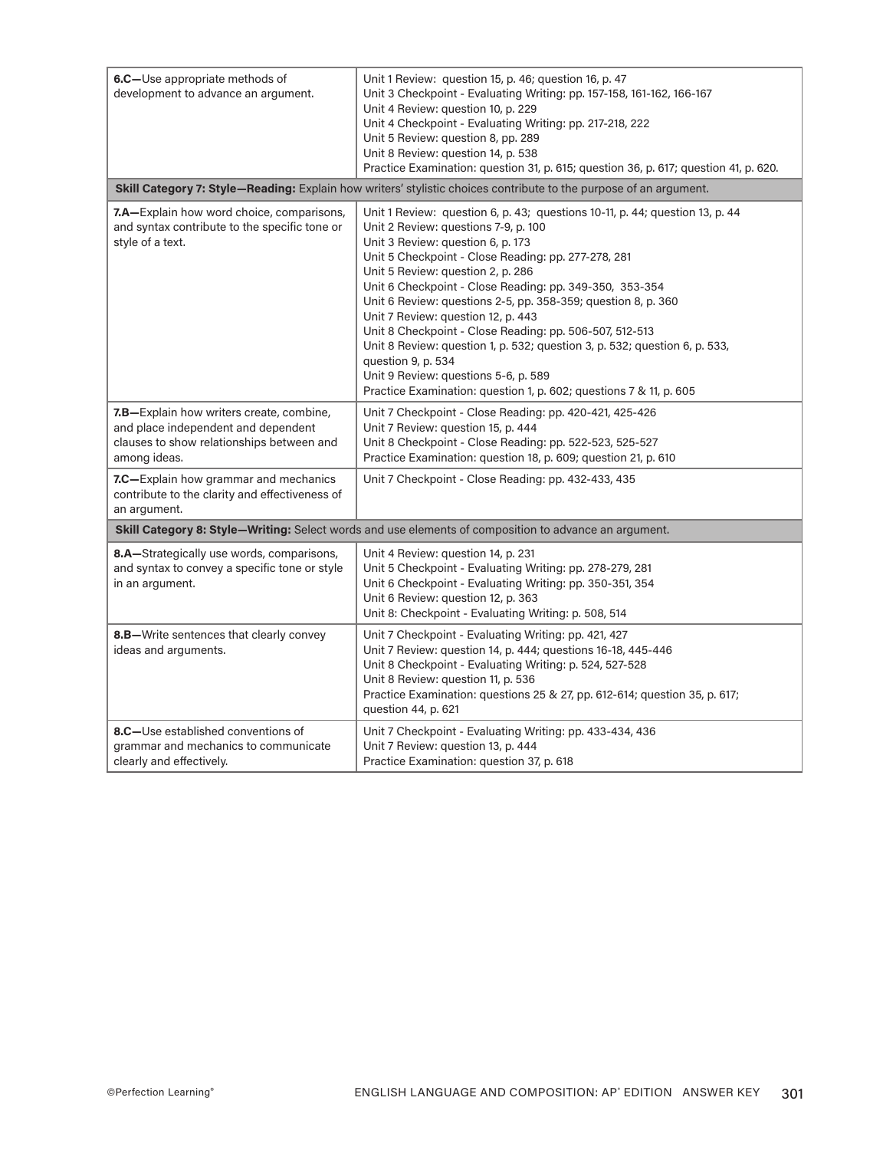| 6.C-Use appropriate methods of<br>development to advance an argument.                                                                        | Unit 1 Review: question 15, p. 46; question 16, p. 47<br>Unit 3 Checkpoint - Evaluating Writing: pp. 157-158, 161-162, 166-167<br>Unit 4 Review: question 10, p. 229<br>Unit 4 Checkpoint - Evaluating Writing: pp. 217-218, 222<br>Unit 5 Review: question 8, pp. 289<br>Unit 8 Review: question 14, p. 538<br>Practice Examination: question 31, p. 615; question 36, p. 617; question 41, p. 620.                                                                                                                                                                                                                                                                                                 |  |
|----------------------------------------------------------------------------------------------------------------------------------------------|------------------------------------------------------------------------------------------------------------------------------------------------------------------------------------------------------------------------------------------------------------------------------------------------------------------------------------------------------------------------------------------------------------------------------------------------------------------------------------------------------------------------------------------------------------------------------------------------------------------------------------------------------------------------------------------------------|--|
| Skill Category 7: Style-Reading: Explain how writers' stylistic choices contribute to the purpose of an argument.                            |                                                                                                                                                                                                                                                                                                                                                                                                                                                                                                                                                                                                                                                                                                      |  |
| <b>7.A</b> —Explain how word choice, comparisons,<br>and syntax contribute to the specific tone or<br>style of a text.                       | Unit 1 Review: question 6, p. 43; questions 10-11, p. 44; question 13, p. 44<br>Unit 2 Review: questions 7-9, p. 100<br>Unit 3 Review: question 6, p. 173<br>Unit 5 Checkpoint - Close Reading: pp. 277-278, 281<br>Unit 5 Review: question 2, p. 286<br>Unit 6 Checkpoint - Close Reading: pp. 349-350, 353-354<br>Unit 6 Review: questions 2-5, pp. 358-359; question 8, p. 360<br>Unit 7 Review: question 12, p. 443<br>Unit 8 Checkpoint - Close Reading: pp. 506-507, 512-513<br>Unit 8 Review: question 1, p. 532; question 3, p. 532; question 6, p. 533,<br>question 9, p. 534<br>Unit 9 Review: questions 5-6, p. 589<br>Practice Examination: question 1, p. 602; questions 7 & 11, p. 605 |  |
| 7.B-Explain how writers create, combine,<br>and place independent and dependent<br>clauses to show relationships between and<br>among ideas. | Unit 7 Checkpoint - Close Reading: pp. 420-421, 425-426<br>Unit 7 Review: question 15, p. 444<br>Unit 8 Checkpoint - Close Reading: pp. 522-523, 525-527<br>Practice Examination: question 18, p. 609; question 21, p. 610                                                                                                                                                                                                                                                                                                                                                                                                                                                                           |  |
| 7.C-Explain how grammar and mechanics<br>contribute to the clarity and effectiveness of<br>an argument.                                      | Unit 7 Checkpoint - Close Reading: pp. 432-433, 435                                                                                                                                                                                                                                                                                                                                                                                                                                                                                                                                                                                                                                                  |  |
|                                                                                                                                              | Skill Category 8: Style-Writing: Select words and use elements of composition to advance an argument.                                                                                                                                                                                                                                                                                                                                                                                                                                                                                                                                                                                                |  |
| 8.A-Strategically use words, comparisons,<br>and syntax to convey a specific tone or style<br>in an argument.                                | Unit 4 Review: question 14, p. 231<br>Unit 5 Checkpoint - Evaluating Writing: pp. 278-279, 281<br>Unit 6 Checkpoint - Evaluating Writing: pp. 350-351, 354<br>Unit 6 Review: question 12, p. 363<br>Unit 8: Checkpoint - Evaluating Writing: p. 508, 514                                                                                                                                                                                                                                                                                                                                                                                                                                             |  |
| 8.B-Write sentences that clearly convey<br>ideas and arguments.                                                                              | Unit 7 Checkpoint - Evaluating Writing: pp. 421, 427<br>Unit 7 Review: question 14, p. 444; questions 16-18, 445-446<br>Unit 8 Checkpoint - Evaluating Writing: p. 524, 527-528<br>Unit 8 Review: question 11, p. 536<br>Practice Examination: questions 25 & 27, pp. 612-614; question 35, p. 617;<br>question 44, p. 621                                                                                                                                                                                                                                                                                                                                                                           |  |
| 8.C-Use established conventions of<br>grammar and mechanics to communicate<br>clearly and effectively.                                       | Unit 7 Checkpoint - Evaluating Writing: pp. 433-434, 436<br>Unit 7 Review: question 13, p. 444<br>Practice Examination: question 37, p. 618                                                                                                                                                                                                                                                                                                                                                                                                                                                                                                                                                          |  |